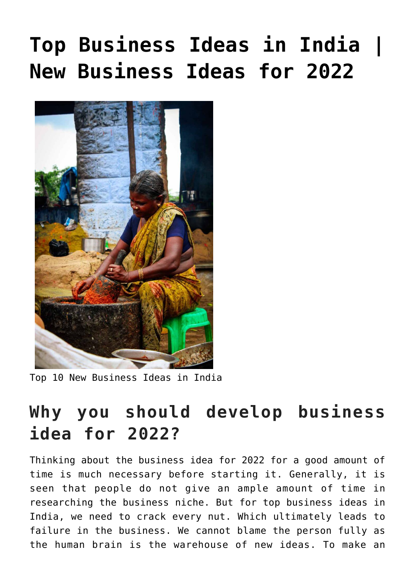# **[Top Business Ideas in India |](https://inbusinessideas.com/top-business-ideas-in-india-in-2021/) [New Business Ideas for 2022](https://inbusinessideas.com/top-business-ideas-in-india-in-2021/)**



Top 10 New Business Ideas in India

# **Why you should develop business idea for 2022?**

Thinking about the business idea for 2022 for a good amount of time is much necessary before starting it. Generally, it is seen that people do not give an ample amount of time in researching the business niche. But for top business ideas in India, we need to crack every nut. Which ultimately leads to failure in the business. We cannot blame the person fully as the human brain is the warehouse of new ideas. To make an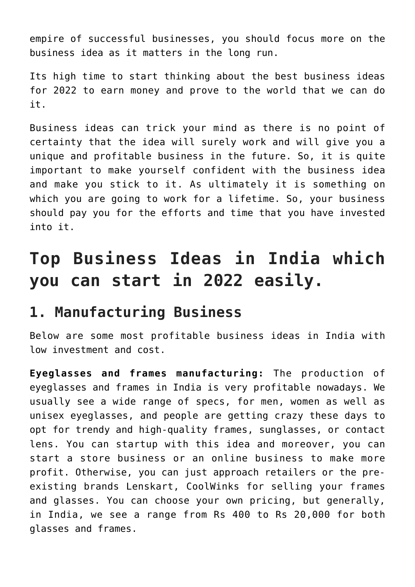empire of successful businesses, you should focus more on the business idea as it matters in the long run.

Its high time to start thinking about the best business ideas for 2022 to earn money and prove to the world that we can do it.

Business ideas can trick your mind as there is no point of certainty that the idea will surely work and will give you a unique and profitable business in the future. So, it is quite important to make yourself confident with the business idea and make you stick to it. As ultimately it is something on which you are going to work for a lifetime. So, your business should pay you for the efforts and time that you have invested into it.

# **Top Business Ideas in India which you can start in 2022 easily.**

#### **1. Manufacturing Business**

Below are some most profitable business ideas in India with low investment and cost.

**Eyeglasses and frames manufacturing:** The production of eyeglasses and frames in India is very profitable nowadays. We usually see a wide range of specs, for men, women as well as unisex eyeglasses, and people are getting crazy these days to opt for trendy and high-quality frames, sunglasses, or contact lens. You can startup with this idea and moreover, you can start a store business or an online business to make more profit. Otherwise, you can just approach retailers or the preexisting brands Lenskart, CoolWinks for selling your frames and glasses. You can choose your own pricing, but generally, in India, we see a range from Rs 400 to Rs 20,000 for both glasses and frames.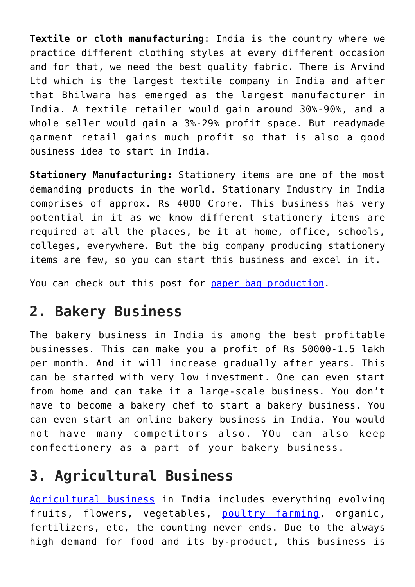**Textile or cloth manufacturing**: India is the country where we practice different clothing styles at every different occasion and for that, we need the best quality fabric. There is Arvind Ltd which is the largest textile company in India and after that Bhilwara has emerged as the largest manufacturer in India. A textile retailer would gain around 30%-90%, and a whole seller would gain a 3%-29% profit space. But readymade garment retail gains much profit so that is also a good business idea to start in India.

**Stationery Manufacturing:** Stationery items are one of the most demanding products in the world. Stationary Industry in India comprises of approx. Rs 4000 Crore. This business has very potential in it as we know different stationery items are required at all the places, be it at home, office, schools, colleges, everywhere. But the big company producing stationery items are few, so you can start this business and excel in it.

You can check out this post for [paper bag production](https://inbusinessideas.com/how-to-start-a-paper-bag-business-in-india/).

#### **2. Bakery Business**

The bakery business in India is among the best profitable businesses. This can make you a profit of Rs 50000-1.5 lakh per month. And it will increase gradually after years. This can be started with very low investment. One can even start from home and can take it a large-scale business. You don't have to become a bakery chef to start a bakery business. You can even start an online bakery business in India. You would not have many competitors also. YOu can also keep confectionery as a part of your bakery business.

## **3. Agricultural Business**

[Agricultural business](https://inbusinessideas.com/category/agriculture-business-in-india/) in India includes everything evolving fruits, flowers, vegetables, [poultry farming,](https://inbusinessideas.com/how-to-start-a-poultry-farm-business-in-india/) organic, fertilizers, etc, the counting never ends. Due to the always high demand for food and its by-product, this business is